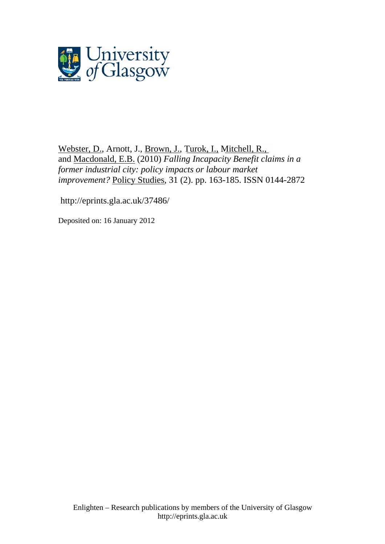

[Webster, D.](http://eprints.gla.ac.uk/view/author/5223.html), Arnott, J., [Brown, J.,](http://eprints.gla.ac.uk/view/author/6192.html) [Turok, I.,](http://eprints.gla.ac.uk/view/author/6107.html) [Mitchell, R.,](http://eprints.gla.ac.uk/view/author/11956.html)  and [Macdonald, E.B.](http://eprints.gla.ac.uk/view/author/4907.html) (2010) *Falling Incapacity Benefit claims in a former industrial city: policy impacts or labour market improvement?* [Policy Studies](http://eprints.gla.ac.uk/view/journal_volume/Policy_Studies.html), 31 (2). pp. 163-185. ISSN 0144-2872

<http://eprints.gla.ac.uk/37486/>

Deposited on: 16 January 2012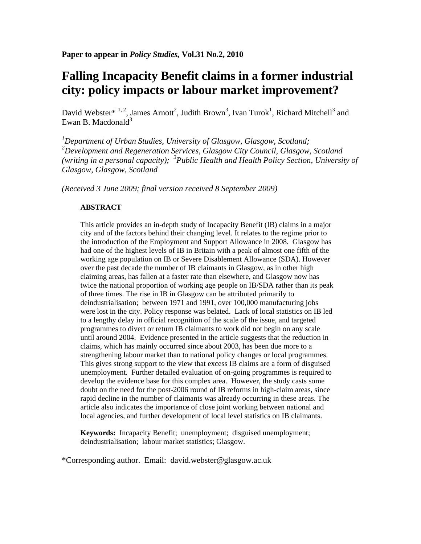# **Falling Incapacity Benefit claims in a former industrial city: policy impacts or labour market improvement?**

David Webster\*  $1, 2$ , James Arnott<sup>2</sup>, Judith Brown<sup>3</sup>, Ivan Turok<sup>1</sup>, Richard Mitchell<sup>3</sup> and Ewan B. Macdonald $3$ 

*1 Department of Urban Studies, University of Glasgow, Glasgow, Scotland; 2 Development and Regeneration Services, Glasgow City Council, Glasgow, Scotland (writing in a personal capacity); <sup>3</sup> Public Health and Health Policy Section, University of Glasgow, Glasgow, Scotland* 

*(Received 3 June 2009; final version received 8 September 2009)* 

## **ABSTRACT**

This article provides an in-depth study of Incapacity Benefit (IB) claims in a major city and of the factors behind their changing level. It relates to the regime prior to the introduction of the Employment and Support Allowance in 2008. Glasgow has had one of the highest levels of IB in Britain with a peak of almost one fifth of the working age population on IB or Severe Disablement Allowance (SDA). However over the past decade the number of IB claimants in Glasgow, as in other high claiming areas, has fallen at a faster rate than elsewhere, and Glasgow now has twice the national proportion of working age people on IB/SDA rather than its peak of three times. The rise in IB in Glasgow can be attributed primarily to deindustrialisation; between 1971 and 1991, over 100,000 manufacturing jobs were lost in the city. Policy response was belated. Lack of local statistics on IB led to a lengthy delay in official recognition of the scale of the issue, and targeted programmes to divert or return IB claimants to work did not begin on any scale until around 2004. Evidence presented in the article suggests that the reduction in claims, which has mainly occurred since about 2003, has been due more to a strengthening labour market than to national policy changes or local programmes. This gives strong support to the view that excess IB claims are a form of disguised unemployment. Further detailed evaluation of on-going programmes is required to develop the evidence base for this complex area. However, the study casts some doubt on the need for the post-2006 round of IB reforms in high-claim areas, since rapid decline in the number of claimants was already occurring in these areas. The article also indicates the importance of close joint working between national and local agencies, and further development of local level statistics on IB claimants.

**Keywords:** Incapacity Benefit; unemployment; disguised unemployment; deindustrialisation; labour market statistics; Glasgow.

\*Corresponding author. Email: david.webster@glasgow.ac.uk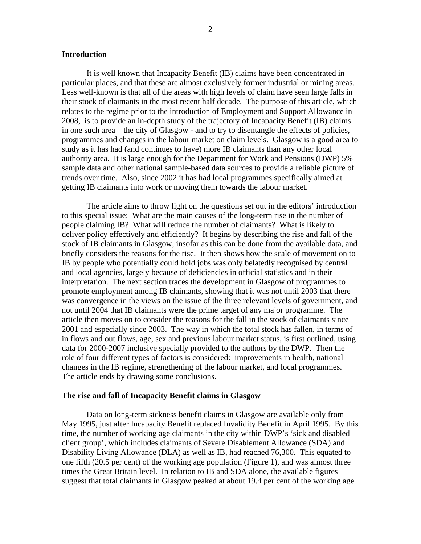#### **Introduction**

It is well known that Incapacity Benefit (IB) claims have been concentrated in particular places, and that these are almost exclusively former industrial or mining areas. Less well-known is that all of the areas with high levels of claim have seen large falls in their stock of claimants in the most recent half decade. The purpose of this article, which relates to the regime prior to the introduction of Employment and Support Allowance in 2008, is to provide an in-depth study of the trajectory of Incapacity Benefit (IB) claims in one such area – the city of Glasgow - and to try to disentangle the effects of policies, programmes and changes in the labour market on claim levels. Glasgow is a good area to study as it has had (and continues to have) more IB claimants than any other local authority area. It is large enough for the Department for Work and Pensions (DWP) 5% sample data and other national sample-based data sources to provide a reliable picture of trends over time. Also, since 2002 it has had local programmes specifically aimed at getting IB claimants into work or moving them towards the labour market.

The article aims to throw light on the questions set out in the editors' introduction to this special issue: What are the main causes of the long-term rise in the number of people claiming IB? What will reduce the number of claimants? What is likely to deliver policy effectively and efficiently? It begins by describing the rise and fall of the stock of IB claimants in Glasgow, insofar as this can be done from the available data, and briefly considers the reasons for the rise. It then shows how the scale of movement on to IB by people who potentially could hold jobs was only belatedly recognised by central and local agencies, largely because of deficiencies in official statistics and in their interpretation. The next section traces the development in Glasgow of programmes to promote employment among IB claimants, showing that it was not until 2003 that there was convergence in the views on the issue of the three relevant levels of government, and not until 2004 that IB claimants were the prime target of any major programme. The article then moves on to consider the reasons for the fall in the stock of claimants since 2001 and especially since 2003. The way in which the total stock has fallen, in terms of in flows and out flows, age, sex and previous labour market status, is first outlined, using data for 2000-2007 inclusive specially provided to the authors by the DWP. Then the role of four different types of factors is considered: improvements in health, national changes in the IB regime, strengthening of the labour market, and local programmes. The article ends by drawing some conclusions.

#### **The rise and fall of Incapacity Benefit claims in Glasgow**

Data on long-term sickness benefit claims in Glasgow are available only from May 1995, just after Incapacity Benefit replaced Invalidity Benefit in April 1995. By this time, the number of working age claimants in the city within DWP's 'sick and disabled client group', which includes claimants of Severe Disablement Allowance (SDA) and Disability Living Allowance (DLA) as well as IB, had reached 76,300. This equated to one fifth (20.5 per cent) of the working age population (Figure 1), and was almost three times the Great Britain level. In relation to IB and SDA alone, the available figures suggest that total claimants in Glasgow peaked at about 19.4 per cent of the working age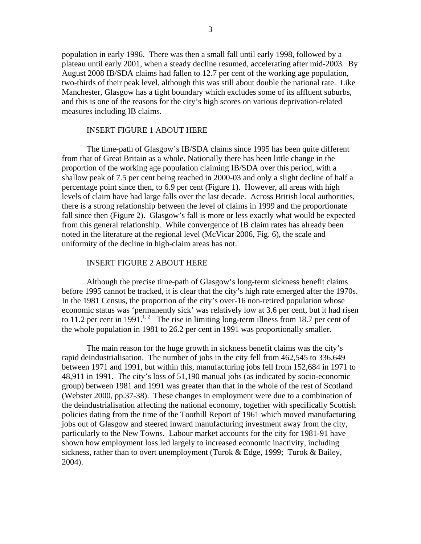population in early 1996. There was then a small fall until early 1998, followed by a plateau until early 2001, when a steady decline resumed, accelerating after mid-2003. By August 2008 IB/SDA claims had fallen to 12.7 per cent of the working age population, two-thirds of their peak level, although this was still about double the national rate. Like Manchester, Glasgow has a tight boundary which excludes some of its affluent suburbs, and this is one of the reasons for the city's high scores on various deprivation-related measures including IB claims.

#### INSERT FIGURE 1 ABOUT HERE

The time-path of Glasgow's IB/SDA claims since 1995 has been quite different from that of Great Britain as a whole. Nationally there has been little change in the proportion of the working age population claiming IB/SDA over this period, with a shallow peak of 7.5 per cent being reached in 2000-03 and only a slight decline of half a percentage point since then, to 6.9 per cent (Figure 1). However, all areas with high levels of claim have had large falls over the last decade. Across British local authorities, there is a strong relationship between the level of claims in 1999 and the proportionate fall since then (Figure 2). Glasgow's fall is more or less exactly what would be expected from this general relationship. While convergence of IB claim rates has already been noted in the literature at the regional level (McVicar 2006, Fig. 6), the scale and uniformity of the decline in high-claim areas has not.

#### INSERT FIGURE 2 ABOUT HERE

Although the precise time-path of Glasgow's long-term sickness benefit claims before 1995 cannot be tracked, it is clear that the city's high rate emerged after the 1970s. In the 1981 Census, the proportion of the city's over-16 non-retired population whose economic status was 'permanently sick' was relatively low at 3.6 per cent, but it had risen to 11.2 per cent in 1991.<sup>1, 2</sup> The rise in limiting long-term illness from 18.7 per cent of the whole population in 1981 to 26.2 per cent in 1991 was proportionally smaller.

The main reason for the huge growth in sickness benefit claims was the city's rapid deindustrialisation. The number of jobs in the city fell from 462,545 to 336,649 between 1971 and 1991, but within this, manufacturing jobs fell from 152,684 in 1971 to 48,911 in 1991. The city's loss of 51,190 manual jobs (as indicated by socio-economic group) between 1981 and 1991 was greater than that in the whole of the rest of Scotland (Webster 2000, pp.37-38). These changes in employment were due to a combination of the deindustrialisation affecting the national economy, together with specifically Scottish policies dating from the time of the Toothill Report of 1961 which moved manufacturing jobs out of Glasgow and steered inward manufacturing investment away from the city, particularly to the New Towns. Labour market accounts for the city for 1981-91 have shown how employment loss led largely to increased economic inactivity, including sickness, rather than to overt unemployment (Turok & Edge, 1999; Turok & Bailey, 2004).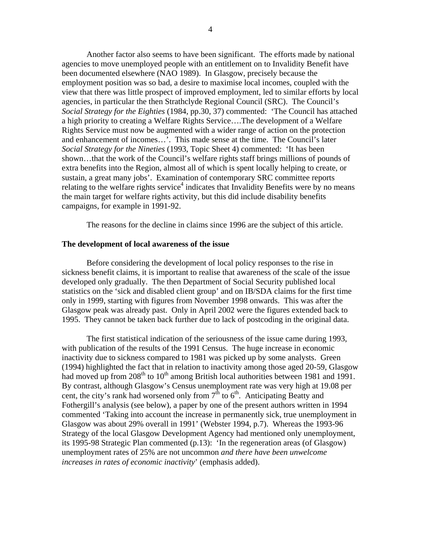Another factor also seems to have been significant. The efforts made by national agencies to move unemployed people with an entitlement on to Invalidity Benefit have been documented elsewhere (NAO 1989). In Glasgow, precisely because the employment position was so bad, a desire to maximise local incomes, coupled with the view that there was little prospect of improved employment, led to similar efforts by local agencies, in particular the then Strathclyde Regional Council (SRC). The Council's *Social Strategy for the Eighties* (1984, pp.30, 37) commented: 'The Council has attached a high priority to creating a Welfare Rights Service….The development of a Welfare Rights Service must now be augmented with a wider range of action on the protection and enhancement of incomes…'. This made sense at the time. The Council's later *Social Strategy for the Nineties* (1993, Topic Sheet 4) commented: 'It has been shown…that the work of the Council's welfare rights staff brings millions of pounds of extra benefits into the Region, almost all of which is spent locally helping to create, or sustain, a great many jobs'. Examination of contemporary SRC committee reports relating to the welfare rights service<sup>4</sup> indicates that Invalidity Benefits were by no means the main target for welfare rights activity, but this did include disability benefits campaigns, for example in 1991-92.

The reasons for the decline in claims since 1996 are the subject of this article.

#### **The development of local awareness of the issue**

Before considering the development of local policy responses to the rise in sickness benefit claims, it is important to realise that awareness of the scale of the issue developed only gradually. The then Department of Social Security published local statistics on the 'sick and disabled client group' and on IB/SDA claims for the first time only in 1999, starting with figures from November 1998 onwards. This was after the Glasgow peak was already past. Only in April 2002 were the figures extended back to 1995. They cannot be taken back further due to lack of postcoding in the original data.

The first statistical indication of the seriousness of the issue came during 1993, with publication of the results of the 1991 Census. The huge increase in economic inactivity due to sickness compared to 1981 was picked up by some analysts. Green (1994) highlighted the fact that in relation to inactivity among those aged 20-59, Glasgow had moved up from  $208<sup>th</sup>$  to  $10<sup>th</sup>$  among British local authorities between 1981 and 1991. By contrast, although Glasgow's Census unemployment rate was very high at 19.08 per cent, the city's rank had worsened only from  $7<sup>th</sup>$  to  $6<sup>th</sup>$ . Anticipating Beatty and Fothergill's analysis (see below), a paper by one of the present authors written in 1994 commented 'Taking into account the increase in permanently sick, true unemployment in Glasgow was about 29% overall in 1991' (Webster 1994, p.7). Whereas the 1993-96 Strategy of the local Glasgow Development Agency had mentioned only unemployment, its 1995-98 Strategic Plan commented (p.13): 'In the regeneration areas (of Glasgow) unemployment rates of 25% are not uncommon *and there have been unwelcome increases in rates of economic inactivity*' (emphasis added).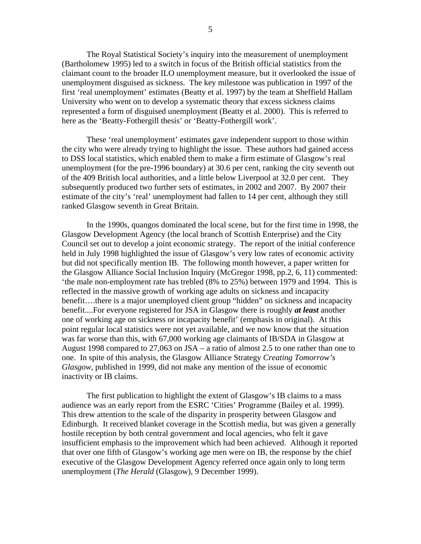The Royal Statistical Society's inquiry into the measurement of unemployment (Bartholomew 1995) led to a switch in focus of the British official statistics from the claimant count to the broader ILO unemployment measure, but it overlooked the issue of unemployment disguised as sickness. The key milestone was publication in 1997 of the first 'real unemployment' estimates (Beatty et al. 1997) by the team at Sheffield Hallam University who went on to develop a systematic theory that excess sickness claims represented a form of disguised unemployment (Beatty et al. 2000). This is referred to here as the 'Beatty-Fothergill thesis' or 'Beatty-Fothergill work'.

These 'real unemployment' estimates gave independent support to those within the city who were already trying to highlight the issue. These authors had gained access to DSS local statistics, which enabled them to make a firm estimate of Glasgow's real unemployment (for the pre-1996 boundary) at 30.6 per cent, ranking the city seventh out of the 409 British local authorities, and a little below Liverpool at 32.0 per cent. They subsequently produced two further sets of estimates, in 2002 and 2007. By 2007 their estimate of the city's 'real' unemployment had fallen to 14 per cent, although they still ranked Glasgow seventh in Great Britain.

In the 1990s, quangos dominated the local scene, but for the first time in 1998, the Glasgow Development Agency (the local branch of Scottish Enterprise) and the City Council set out to develop a joint economic strategy. The report of the initial conference held in July 1998 highlighted the issue of Glasgow's very low rates of economic activity but did not specifically mention IB. The following month however, a paper written for the Glasgow Alliance Social Inclusion Inquiry (McGregor 1998, pp.2, 6, 11) commented: 'the male non-employment rate has trebled (8% to 25%) between 1979 and 1994. This is reflected in the massive growth of working age adults on sickness and incapacity benefit….there is a major unemployed client group "hidden" on sickness and incapacity benefit....For everyone registered for JSA in Glasgow there is roughly *at least* another one of working age on sickness or incapacity benefit' (emphasis in original). At this point regular local statistics were not yet available, and we now know that the situation was far worse than this, with 67,000 working age claimants of IB/SDA in Glasgow at August 1998 compared to 27,063 on JSA – a ratio of almost 2.5 to one rather than one to one. In spite of this analysis, the Glasgow Alliance Strategy *Creating Tomorrow's Glasgow*, published in 1999, did not make any mention of the issue of economic inactivity or IB claims.

The first publication to highlight the extent of Glasgow's IB claims to a mass audience was an early report from the ESRC 'Cities' Programme (Bailey et al. 1999). This drew attention to the scale of the disparity in prosperity between Glasgow and Edinburgh. It received blanket coverage in the Scottish media, but was given a generally hostile reception by both central government and local agencies, who felt it gave insufficient emphasis to the improvement which had been achieved. Although it reported that over one fifth of Glasgow's working age men were on IB, the response by the chief executive of the Glasgow Development Agency referred once again only to long term unemployment (*The Herald* (Glasgow), 9 December 1999).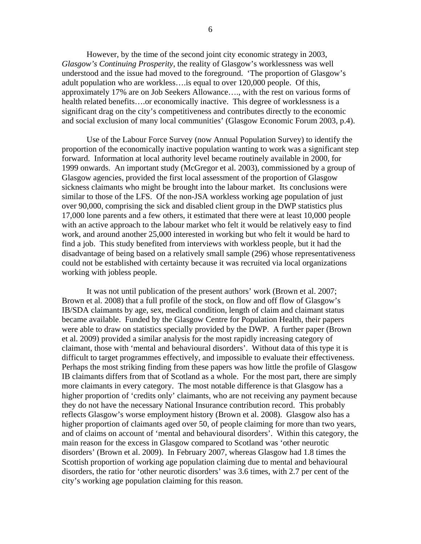However, by the time of the second joint city economic strategy in 2003, *Glasgow's Continuing Prosperity*, the reality of Glasgow's worklessness was well understood and the issue had moved to the foreground. 'The proportion of Glasgow's adult population who are workless….is equal to over 120,000 people. Of this, approximately 17% are on Job Seekers Allowance…., with the rest on various forms of health related benefits….or economically inactive. This degree of worklessness is a significant drag on the city's competitiveness and contributes directly to the economic and social exclusion of many local communities' (Glasgow Economic Forum 2003, p.4).

Use of the Labour Force Survey (now Annual Population Survey) to identify the proportion of the economically inactive population wanting to work was a significant step forward. Information at local authority level became routinely available in 2000, for 1999 onwards. An important study (McGregor et al. 2003), commissioned by a group of Glasgow agencies, provided the first local assessment of the proportion of Glasgow sickness claimants who might be brought into the labour market. Its conclusions were similar to those of the LFS. Of the non-JSA workless working age population of just over 90,000, comprising the sick and disabled client group in the DWP statistics plus 17,000 lone parents and a few others, it estimated that there were at least 10,000 people with an active approach to the labour market who felt it would be relatively easy to find work, and around another 25,000 interested in working but who felt it would be hard to find a job. This study benefited from interviews with workless people, but it had the disadvantage of being based on a relatively small sample (296) whose representativeness could not be established with certainty because it was recruited via local organizations working with jobless people.

It was not until publication of the present authors' work (Brown et al. 2007; Brown et al. 2008) that a full profile of the stock, on flow and off flow of Glasgow's IB/SDA claimants by age, sex, medical condition, length of claim and claimant status became available. Funded by the Glasgow Centre for Population Health, their papers were able to draw on statistics specially provided by the DWP. A further paper (Brown et al. 2009) provided a similar analysis for the most rapidly increasing category of claimant, those with 'mental and behavioural disorders'. Without data of this type it is difficult to target programmes effectively, and impossible to evaluate their effectiveness. Perhaps the most striking finding from these papers was how little the profile of Glasgow IB claimants differs from that of Scotland as a whole. For the most part, there are simply more claimants in every category. The most notable difference is that Glasgow has a higher proportion of 'credits only' claimants, who are not receiving any payment because they do not have the necessary National Insurance contribution record. This probably reflects Glasgow's worse employment history (Brown et al. 2008). Glasgow also has a higher proportion of claimants aged over 50, of people claiming for more than two years, and of claims on account of 'mental and behavioural disorders'. Within this category, the main reason for the excess in Glasgow compared to Scotland was 'other neurotic disorders' (Brown et al. 2009). In February 2007, whereas Glasgow had 1.8 times the Scottish proportion of working age population claiming due to mental and behavioural disorders, the ratio for 'other neurotic disorders' was 3.6 times, with 2.7 per cent of the city's working age population claiming for this reason.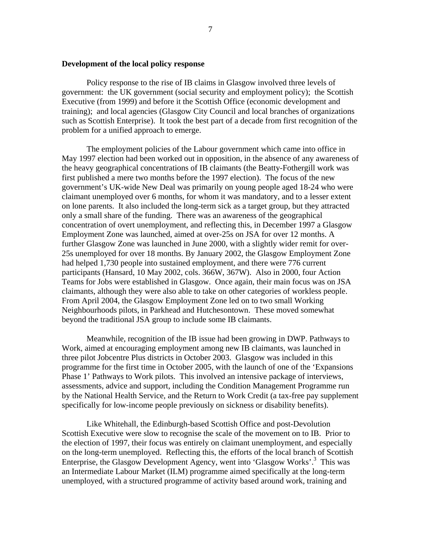#### **Development of the local policy response**

Policy response to the rise of IB claims in Glasgow involved three levels of government: the UK government (social security and employment policy); the Scottish Executive (from 1999) and before it the Scottish Office (economic development and training); and local agencies (Glasgow City Council and local branches of organizations such as Scottish Enterprise). It took the best part of a decade from first recognition of the problem for a unified approach to emerge.

The employment policies of the Labour government which came into office in May 1997 election had been worked out in opposition, in the absence of any awareness of the heavy geographical concentrations of IB claimants (the Beatty-Fothergill work was first published a mere two months before the 1997 election). The focus of the new government's UK-wide New Deal was primarily on young people aged 18-24 who were claimant unemployed over 6 months, for whom it was mandatory, and to a lesser extent on lone parents. It also included the long-term sick as a target group, but they attracted only a small share of the funding. There was an awareness of the geographical concentration of overt unemployment, and reflecting this, in December 1997 a Glasgow Employment Zone was launched, aimed at over-25s on JSA for over 12 months. A further Glasgow Zone was launched in June 2000, with a slightly wider remit for over-25s unemployed for over 18 months. By January 2002, the Glasgow Employment Zone had helped 1,730 people into sustained employment, and there were 776 current participants (Hansard, 10 May 2002, cols. 366W, 367W). Also in 2000, four Action Teams for Jobs were established in Glasgow. Once again, their main focus was on JSA claimants, although they were also able to take on other categories of workless people. From April 2004, the Glasgow Employment Zone led on to two small Working Neighbourhoods pilots, in Parkhead and Hutchesontown. These moved somewhat beyond the traditional JSA group to include some IB claimants.

Meanwhile, recognition of the IB issue had been growing in DWP. Pathways to Work, aimed at encouraging employment among new IB claimants, was launched in three pilot Jobcentre Plus districts in October 2003. Glasgow was included in this programme for the first time in October 2005, with the launch of one of the 'Expansions Phase 1' Pathways to Work pilots. This involved an intensive package of interviews, assessments, advice and support, including the Condition Management Programme run by the National Health Service, and the Return to Work Credit (a tax-free pay supplement specifically for low-income people previously on sickness or disability benefits).

Like Whitehall, the Edinburgh-based Scottish Office and post-Devolution Scottish Executive were slow to recognise the scale of the movement on to IB. Prior to the election of 1997, their focus was entirely on claimant unemployment, and especially on the long-term unemployed. Reflecting this, the efforts of the local branch of Scottish Enterprise, the Glasgow Development Agency, went into 'Glasgow Works'.<sup>3</sup> This was an Intermediate Labour Market (ILM) programme aimed specifically at the long-term unemployed, with a structured programme of activity based around work, training and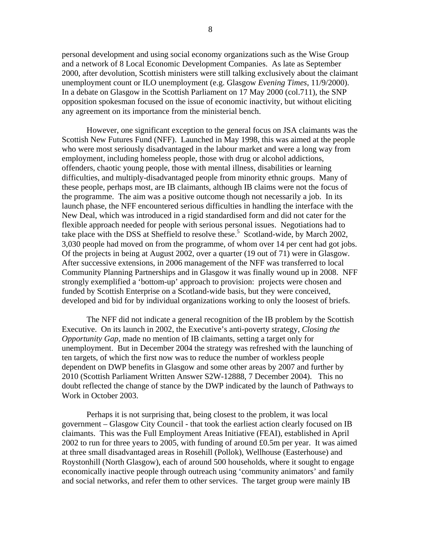personal development and using social economy organizations such as the Wise Group and a network of 8 Local Economic Development Companies. As late as September 2000, after devolution, Scottish ministers were still talking exclusively about the claimant unemployment count or ILO unemployment (e.g. Glasgow *Evening Times*, 11/9/2000). In a debate on Glasgow in the Scottish Parliament on 17 May 2000 (col.711), the SNP opposition spokesman focused on the issue of economic inactivity, but without eliciting any agreement on its importance from the ministerial bench.

However, one significant exception to the general focus on JSA claimants was the Scottish New Futures Fund (NFF). Launched in May 1998, this was aimed at the people who were most seriously disadvantaged in the labour market and were a long way from employment, including homeless people, those with drug or alcohol addictions, offenders, chaotic young people, those with mental illness, disabilities or learning difficulties, and multiply-disadvantaged people from minority ethnic groups. Many of these people, perhaps most, are IB claimants, although IB claims were not the focus of the programme. The aim was a positive outcome though not necessarily a job. In its launch phase, the NFF encountered serious difficulties in handling the interface with the New Deal, which was introduced in a rigid standardised form and did not cater for the flexible approach needed for people with serious personal issues. Negotiations had to take place with the DSS at Sheffield to resolve these.<sup>5</sup> Scotland-wide, by March 2002, 3,030 people had moved on from the programme, of whom over 14 per cent had got jobs. Of the projects in being at August 2002, over a quarter (19 out of 71) were in Glasgow. After successive extensions, in 2006 management of the NFF was transferred to local Community Planning Partnerships and in Glasgow it was finally wound up in 2008. NFF strongly exemplified a 'bottom-up' approach to provision: projects were chosen and funded by Scottish Enterprise on a Scotland-wide basis, but they were conceived, developed and bid for by individual organizations working to only the loosest of briefs.

The NFF did not indicate a general recognition of the IB problem by the Scottish Executive. On its launch in 2002, the Executive's anti-poverty strategy, *Closing the Opportunity Gap*, made no mention of IB claimants, setting a target only for unemployment. But in December 2004 the strategy was refreshed with the launching of ten targets, of which the first now was to reduce the number of workless people dependent on DWP benefits in Glasgow and some other areas by 2007 and further by 2010 (Scottish Parliament Written Answer S2W-12888, 7 December 2004). This no doubt reflected the change of stance by the DWP indicated by the launch of Pathways to Work in October 2003.

Perhaps it is not surprising that, being closest to the problem, it was local government – Glasgow City Council - that took the earliest action clearly focused on IB claimants. This was the Full Employment Areas Initiative (FEAI), established in April 2002 to run for three years to 2005, with funding of around  $\text{\pounds}0.5m$  per year. It was aimed at three small disadvantaged areas in Rosehill (Pollok), Wellhouse (Easterhouse) and Roystonhill (North Glasgow), each of around 500 households, where it sought to engage economically inactive people through outreach using 'community animators' and family and social networks, and refer them to other services. The target group were mainly IB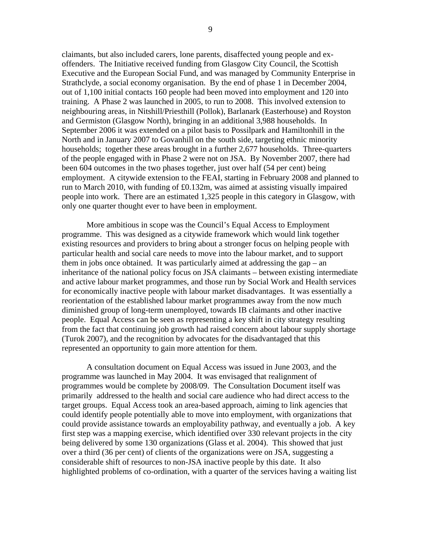claimants, but also included carers, lone parents, disaffected young people and exoffenders. The Initiative received funding from Glasgow City Council, the Scottish Executive and the European Social Fund, and was managed by Community Enterprise in Strathclyde, a social economy organisation. By the end of phase 1 in December 2004, out of 1,100 initial contacts 160 people had been moved into employment and 120 into training. A Phase 2 was launched in 2005, to run to 2008. This involved extension to neighbouring areas, in Nitshill/Priesthill (Pollok), Barlanark (Easterhouse) and Royston and Germiston (Glasgow North), bringing in an additional 3,988 households. In September 2006 it was extended on a pilot basis to Possilpark and Hamiltonhill in the North and in January 2007 to Govanhill on the south side, targeting ethnic minority households; together these areas brought in a further 2,677 households. Three-quarters of the people engaged with in Phase 2 were not on JSA. By November 2007, there had been 604 outcomes in the two phases together, just over half (54 per cent) being employment. A citywide extension to the FEAI, starting in February 2008 and planned to run to March 2010, with funding of £0.132m, was aimed at assisting visually impaired people into work. There are an estimated 1,325 people in this category in Glasgow, with only one quarter thought ever to have been in employment.

More ambitious in scope was the Council's Equal Access to Employment programme. This was designed as a citywide framework which would link together existing resources and providers to bring about a stronger focus on helping people with particular health and social care needs to move into the labour market, and to support them in jobs once obtained. It was particularly aimed at addressing the gap – an inheritance of the national policy focus on JSA claimants – between existing intermediate and active labour market programmes, and those run by Social Work and Health services for economically inactive people with labour market disadvantages. It was essentially a reorientation of the established labour market programmes away from the now much diminished group of long-term unemployed, towards IB claimants and other inactive people. Equal Access can be seen as representing a key shift in city strategy resulting from the fact that continuing job growth had raised concern about labour supply shortage (Turok 2007), and the recognition by advocates for the disadvantaged that this represented an opportunity to gain more attention for them.

A consultation document on Equal Access was issued in June 2003, and the programme was launched in May 2004. It was envisaged that realignment of programmes would be complete by 2008/09. The Consultation Document itself was primarily addressed to the health and social care audience who had direct access to the target groups. Equal Access took an area-based approach, aiming to link agencies that could identify people potentially able to move into employment, with organizations that could provide assistance towards an employability pathway, and eventually a job. A key first step was a mapping exercise, which identified over 330 relevant projects in the city being delivered by some 130 organizations (Glass et al. 2004). This showed that just over a third (36 per cent) of clients of the organizations were on JSA, suggesting a considerable shift of resources to non-JSA inactive people by this date. It also highlighted problems of co-ordination, with a quarter of the services having a waiting list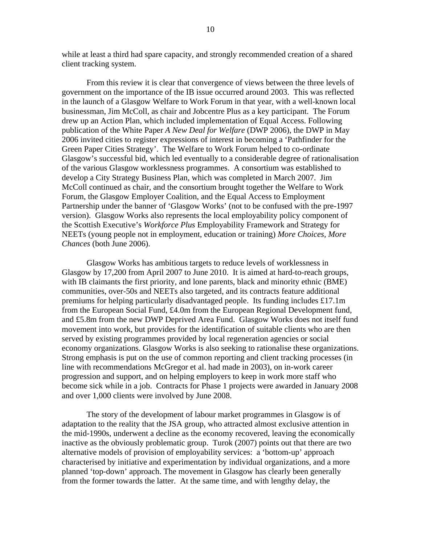while at least a third had spare capacity, and strongly recommended creation of a shared client tracking system.

From this review it is clear that convergence of views between the three levels of government on the importance of the IB issue occurred around 2003. This was reflected in the launch of a Glasgow Welfare to Work Forum in that year, with a well-known local businessman, Jim McColl, as chair and Jobcentre Plus as a key participant. The Forum drew up an Action Plan, which included implementation of Equal Access. Following publication of the White Paper *A New Deal for Welfare* (DWP 2006), the DWP in May 2006 invited cities to register expressions of interest in becoming a 'Pathfinder for the Green Paper Cities Strategy'. The Welfare to Work Forum helped to co-ordinate Glasgow's successful bid, which led eventually to a considerable degree of rationalisation of the various Glasgow worklessness programmes. A consortium was established to develop a City Strategy Business Plan, which was completed in March 2007. Jim McColl continued as chair, and the consortium brought together the Welfare to Work Forum, the Glasgow Employer Coalition, and the Equal Access to Employment Partnership under the banner of 'Glasgow Works' (not to be confused with the pre-1997 version). Glasgow Works also represents the local employability policy component of the Scottish Executive's *Workforce Plus* Employability Framework and Strategy for NEETs (young people not in employment, education or training) *More Choices, More Chances* (both June 2006).

Glasgow Works has ambitious targets to reduce levels of worklessness in Glasgow by 17,200 from April 2007 to June 2010. It is aimed at hard-to-reach groups, with IB claimants the first priority, and lone parents, black and minority ethnic (BME) communities, over-50s and NEETs also targeted, and its contracts feature additional premiums for helping particularly disadvantaged people. Its funding includes £17.1m from the European Social Fund, £4.0m from the European Regional Development fund, and £5.8m from the new DWP Deprived Area Fund. Glasgow Works does not itself fund movement into work, but provides for the identification of suitable clients who are then served by existing programmes provided by local regeneration agencies or social economy organizations. Glasgow Works is also seeking to rationalise these organizations. Strong emphasis is put on the use of common reporting and client tracking processes (in line with recommendations McGregor et al. had made in 2003), on in-work career progression and support, and on helping employers to keep in work more staff who become sick while in a job. Contracts for Phase 1 projects were awarded in January 2008 and over 1,000 clients were involved by June 2008.

The story of the development of labour market programmes in Glasgow is of adaptation to the reality that the JSA group, who attracted almost exclusive attention in the mid-1990s, underwent a decline as the economy recovered, leaving the economically inactive as the obviously problematic group. Turok (2007) points out that there are two alternative models of provision of employability services: a 'bottom-up' approach characterised by initiative and experimentation by individual organizations, and a more planned 'top-down' approach. The movement in Glasgow has clearly been generally from the former towards the latter. At the same time, and with lengthy delay, the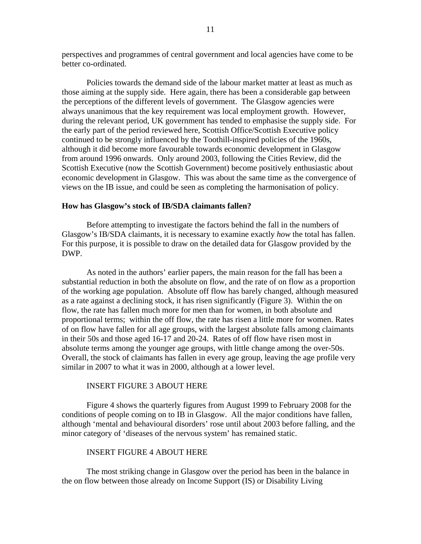perspectives and programmes of central government and local agencies have come to be better co-ordinated.

Policies towards the demand side of the labour market matter at least as much as those aiming at the supply side. Here again, there has been a considerable gap between the perceptions of the different levels of government. The Glasgow agencies were always unanimous that the key requirement was local employment growth. However, during the relevant period, UK government has tended to emphasise the supply side. For the early part of the period reviewed here, Scottish Office/Scottish Executive policy continued to be strongly influenced by the Toothill-inspired policies of the 1960s, although it did become more favourable towards economic development in Glasgow from around 1996 onwards. Only around 2003, following the Cities Review, did the Scottish Executive (now the Scottish Government) become positively enthusiastic about economic development in Glasgow. This was about the same time as the convergence of views on the IB issue, and could be seen as completing the harmonisation of policy.

#### **How has Glasgow's stock of IB/SDA claimants fallen?**

Before attempting to investigate the factors behind the fall in the numbers of Glasgow's IB/SDA claimants, it is necessary to examine exactly *how* the total has fallen. For this purpose, it is possible to draw on the detailed data for Glasgow provided by the DWP.

As noted in the authors' earlier papers, the main reason for the fall has been a substantial reduction in both the absolute on flow, and the rate of on flow as a proportion of the working age population. Absolute off flow has barely changed, although measured as a rate against a declining stock, it has risen significantly (Figure 3). Within the on flow, the rate has fallen much more for men than for women, in both absolute and proportional terms; within the off flow, the rate has risen a little more for women. Rates of on flow have fallen for all age groups, with the largest absolute falls among claimants in their 50s and those aged 16-17 and 20-24. Rates of off flow have risen most in absolute terms among the younger age groups, with little change among the over-50s. Overall, the stock of claimants has fallen in every age group, leaving the age profile very similar in 2007 to what it was in 2000, although at a lower level.

#### INSERT FIGURE 3 ABOUT HERE

Figure 4 shows the quarterly figures from August 1999 to February 2008 for the conditions of people coming on to IB in Glasgow. All the major conditions have fallen, although 'mental and behavioural disorders' rose until about 2003 before falling, and the minor category of 'diseases of the nervous system' has remained static.

#### INSERT FIGURE 4 ABOUT HERE

The most striking change in Glasgow over the period has been in the balance in the on flow between those already on Income Support (IS) or Disability Living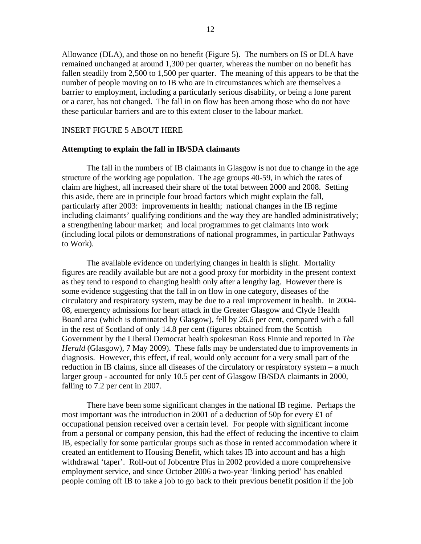Allowance (DLA), and those on no benefit (Figure 5). The numbers on IS or DLA have remained unchanged at around 1,300 per quarter, whereas the number on no benefit has fallen steadily from 2,500 to 1,500 per quarter. The meaning of this appears to be that the number of people moving on to IB who are in circumstances which are themselves a barrier to employment, including a particularly serious disability, or being a lone parent or a carer, has not changed. The fall in on flow has been among those who do not have these particular barriers and are to this extent closer to the labour market.

## INSERT FIGURE 5 ABOUT HERE

#### **Attempting to explain the fall in IB/SDA claimants**

The fall in the numbers of IB claimants in Glasgow is not due to change in the age structure of the working age population. The age groups 40-59, in which the rates of claim are highest, all increased their share of the total between 2000 and 2008. Setting this aside, there are in principle four broad factors which might explain the fall, particularly after 2003: improvements in health; national changes in the IB regime including claimants' qualifying conditions and the way they are handled administratively; a strengthening labour market; and local programmes to get claimants into work (including local pilots or demonstrations of national programmes, in particular Pathways to Work).

The available evidence on underlying changes in health is slight. Mortality figures are readily available but are not a good proxy for morbidity in the present context as they tend to respond to changing health only after a lengthy lag. However there is some evidence suggesting that the fall in on flow in one category, diseases of the circulatory and respiratory system, may be due to a real improvement in health. In 2004- 08, emergency admissions for heart attack in the Greater Glasgow and Clyde Health Board area (which is dominated by Glasgow), fell by 26.6 per cent, compared with a fall in the rest of Scotland of only 14.8 per cent (figures obtained from the Scottish Government by the Liberal Democrat health spokesman Ross Finnie and reported in *The Herald* (Glasgow), 7 May 2009). These falls may be understated due to improvements in diagnosis. However, this effect, if real, would only account for a very small part of the reduction in IB claims, since all diseases of the circulatory or respiratory system – a much larger group - accounted for only 10.5 per cent of Glasgow IB/SDA claimants in 2000, falling to 7.2 per cent in 2007.

There have been some significant changes in the national IB regime. Perhaps the most important was the introduction in 2001 of a deduction of 50p for every £1 of occupational pension received over a certain level. For people with significant income from a personal or company pension, this had the effect of reducing the incentive to claim IB, especially for some particular groups such as those in rented accommodation where it created an entitlement to Housing Benefit, which takes IB into account and has a high withdrawal 'taper'. Roll-out of Jobcentre Plus in 2002 provided a more comprehensive employment service, and since October 2006 a two-year 'linking period' has enabled people coming off IB to take a job to go back to their previous benefit position if the job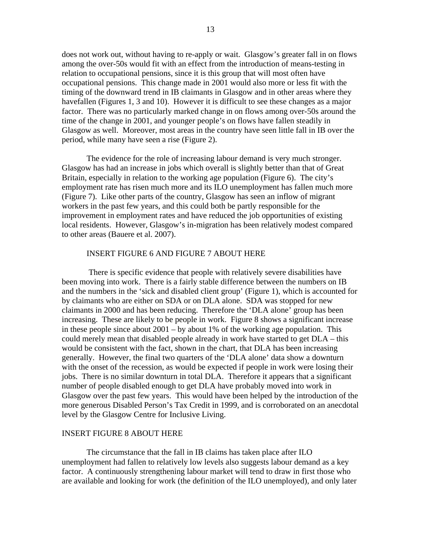does not work out, without having to re-apply or wait. Glasgow's greater fall in on flows among the over-50s would fit with an effect from the introduction of means-testing in relation to occupational pensions, since it is this group that will most often have occupational pensions. This change made in 2001 would also more or less fit with the timing of the downward trend in IB claimants in Glasgow and in other areas where they havefallen (Figures 1, 3 and 10). However it is difficult to see these changes as a major factor. There was no particularly marked change in on flows among over-50s around the time of the change in 2001, and younger people's on flows have fallen steadily in Glasgow as well. Moreover, most areas in the country have seen little fall in IB over the period, while many have seen a rise (Figure 2).

The evidence for the role of increasing labour demand is very much stronger. Glasgow has had an increase in jobs which overall is slightly better than that of Great Britain, especially in relation to the working age population (Figure 6). The city's employment rate has risen much more and its ILO unemployment has fallen much more (Figure 7). Like other parts of the country, Glasgow has seen an inflow of migrant workers in the past few years, and this could both be partly responsible for the improvement in employment rates and have reduced the job opportunities of existing local residents. However, Glasgow's in-migration has been relatively modest compared to other areas (Bauere et al. 2007).

#### INSERT FIGURE 6 AND FIGURE 7 ABOUT HERE

 There is specific evidence that people with relatively severe disabilities have been moving into work. There is a fairly stable difference between the numbers on IB and the numbers in the 'sick and disabled client group' (Figure 1), which is accounted for by claimants who are either on SDA or on DLA alone. SDA was stopped for new claimants in 2000 and has been reducing. Therefore the 'DLA alone' group has been increasing. These are likely to be people in work. Figure 8 shows a significant increase in these people since about 2001 – by about 1% of the working age population. This could merely mean that disabled people already in work have started to get DLA – this would be consistent with the fact, shown in the chart, that DLA has been increasing generally. However, the final two quarters of the 'DLA alone' data show a downturn with the onset of the recession, as would be expected if people in work were losing their jobs. There is no similar downturn in total DLA. Therefore it appears that a significant number of people disabled enough to get DLA have probably moved into work in Glasgow over the past few years. This would have been helped by the introduction of the more generous Disabled Person's Tax Credit in 1999, and is corroborated on an anecdotal level by the Glasgow Centre for Inclusive Living.

#### INSERT FIGURE 8 ABOUT HERE

 The circumstance that the fall in IB claims has taken place after ILO unemployment had fallen to relatively low levels also suggests labour demand as a key factor. A continuously strengthening labour market will tend to draw in first those who are available and looking for work (the definition of the ILO unemployed), and only later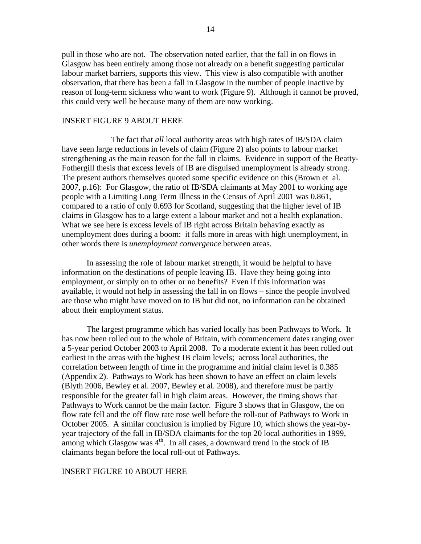pull in those who are not. The observation noted earlier, that the fall in on flows in Glasgow has been entirely among those not already on a benefit suggesting particular labour market barriers, supports this view. This view is also compatible with another observation, that there has been a fall in Glasgow in the number of people inactive by reason of long-term sickness who want to work (Figure 9). Although it cannot be proved, this could very well be because many of them are now working.

#### INSERT FIGURE 9 ABOUT HERE

 The fact that *all* local authority areas with high rates of IB/SDA claim have seen large reductions in levels of claim (Figure 2) also points to labour market strengthening as the main reason for the fall in claims. Evidence in support of the Beatty-Fothergill thesis that excess levels of IB are disguised unemployment is already strong. The present authors themselves quoted some specific evidence on this (Brown et al. 2007, p.16): For Glasgow, the ratio of IB/SDA claimants at May 2001 to working age people with a Limiting Long Term Illness in the Census of April 2001 was 0.861, compared to a ratio of only 0.693 for Scotland, suggesting that the higher level of IB claims in Glasgow has to a large extent a labour market and not a health explanation. What we see here is excess levels of IB right across Britain behaving exactly as unemployment does during a boom: it falls more in areas with high unemployment, in other words there is *unemployment convergence* between areas.

In assessing the role of labour market strength, it would be helpful to have information on the destinations of people leaving IB. Have they being going into employment, or simply on to other or no benefits? Even if this information was available, it would not help in assessing the fall in on flows – since the people involved are those who might have moved on to IB but did not, no information can be obtained about their employment status.

The largest programme which has varied locally has been Pathways to Work. It has now been rolled out to the whole of Britain, with commencement dates ranging over a 5-year period October 2003 to April 2008. To a moderate extent it has been rolled out earliest in the areas with the highest IB claim levels; across local authorities, the correlation between length of time in the programme and initial claim level is 0.385 (Appendix 2). Pathways to Work has been shown to have an effect on claim levels (Blyth 2006, Bewley et al. 2007, Bewley et al. 2008), and therefore must be partly responsible for the greater fall in high claim areas. However, the timing shows that Pathways to Work cannot be the main factor. Figure 3 shows that in Glasgow, the on flow rate fell and the off flow rate rose well before the roll-out of Pathways to Work in October 2005. A similar conclusion is implied by Figure 10, which shows the year-byyear trajectory of the fall in IB/SDA claimants for the top 20 local authorities in 1999, among which Glasgow was  $4<sup>th</sup>$ . In all cases, a downward trend in the stock of IB claimants began before the local roll-out of Pathways.

#### INSERT FIGURE 10 ABOUT HERE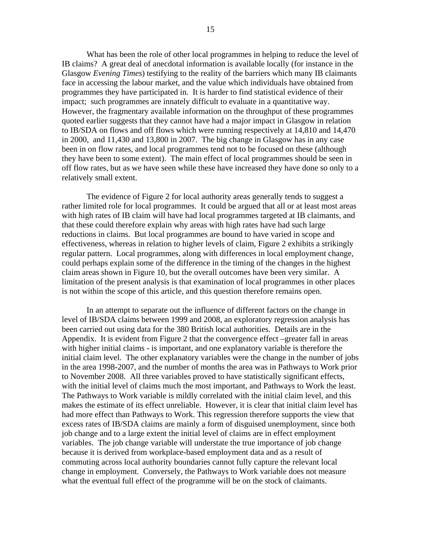What has been the role of other local programmes in helping to reduce the level of IB claims? A great deal of anecdotal information is available locally (for instance in the Glasgow *Evening Times*) testifying to the reality of the barriers which many IB claimants face in accessing the labour market, and the value which individuals have obtained from programmes they have participated in. It is harder to find statistical evidence of their impact; such programmes are innately difficult to evaluate in a quantitative way. However, the fragmentary available information on the throughput of these programmes quoted earlier suggests that they cannot have had a major impact in Glasgow in relation to IB/SDA on flows and off flows which were running respectively at 14,810 and 14,470 in 2000, and 11,430 and 13,800 in 2007. The big change in Glasgow has in any case been in on flow rates, and local programmes tend not to be focused on these (although they have been to some extent). The main effect of local programmes should be seen in off flow rates, but as we have seen while these have increased they have done so only to a relatively small extent.

The evidence of Figure 2 for local authority areas generally tends to suggest a rather limited role for local programmes. It could be argued that all or at least most areas with high rates of IB claim will have had local programmes targeted at IB claimants, and that these could therefore explain why areas with high rates have had such large reductions in claims. But local programmes are bound to have varied in scope and effectiveness, whereas in relation to higher levels of claim, Figure 2 exhibits a strikingly regular pattern. Local programmes, along with differences in local employment change, could perhaps explain some of the difference in the timing of the changes in the highest claim areas shown in Figure 10, but the overall outcomes have been very similar. A limitation of the present analysis is that examination of local programmes in other places is not within the scope of this article, and this question therefore remains open.

In an attempt to separate out the influence of different factors on the change in level of IB/SDA claims between 1999 and 2008, an exploratory regression analysis has been carried out using data for the 380 British local authorities. Details are in the Appendix. It is evident from Figure 2 that the convergence effect –greater fall in areas with higher initial claims - is important, and one explanatory variable is therefore the initial claim level. The other explanatory variables were the change in the number of jobs in the area 1998-2007, and the number of months the area was in Pathways to Work prior to November 2008. All three variables proved to have statistically significant effects, with the initial level of claims much the most important, and Pathways to Work the least. The Pathways to Work variable is mildly correlated with the initial claim level, and this makes the estimate of its effect unreliable. However, it is clear that initial claim level has had more effect than Pathways to Work. This regression therefore supports the view that excess rates of IB/SDA claims are mainly a form of disguised unemployment, since both job change and to a large extent the initial level of claims are in effect employment variables. The job change variable will understate the true importance of job change because it is derived from workplace-based employment data and as a result of commuting across local authority boundaries cannot fully capture the relevant local change in employment. Conversely, the Pathways to Work variable does not measure what the eventual full effect of the programme will be on the stock of claimants.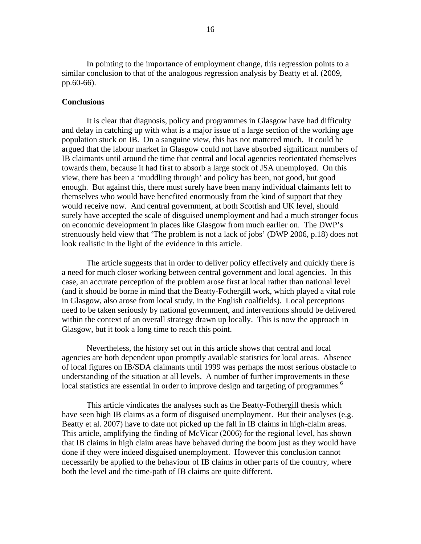In pointing to the importance of employment change, this regression points to a similar conclusion to that of the analogous regression analysis by Beatty et al. (2009, pp.60-66).

## **Conclusions**

It is clear that diagnosis, policy and programmes in Glasgow have had difficulty and delay in catching up with what is a major issue of a large section of the working age population stuck on IB. On a sanguine view, this has not mattered much. It could be argued that the labour market in Glasgow could not have absorbed significant numbers of IB claimants until around the time that central and local agencies reorientated themselves towards them, because it had first to absorb a large stock of JSA unemployed. On this view, there has been a 'muddling through' and policy has been, not good, but good enough. But against this, there must surely have been many individual claimants left to themselves who would have benefited enormously from the kind of support that they would receive now. And central government, at both Scottish and UK level, should surely have accepted the scale of disguised unemployment and had a much stronger focus on economic development in places like Glasgow from much earlier on. The DWP's strenuously held view that 'The problem is not a lack of jobs' (DWP 2006, p.18) does not look realistic in the light of the evidence in this article.

The article suggests that in order to deliver policy effectively and quickly there is a need for much closer working between central government and local agencies. In this case, an accurate perception of the problem arose first at local rather than national level (and it should be borne in mind that the Beatty-Fothergill work, which played a vital role in Glasgow, also arose from local study, in the English coalfields). Local perceptions need to be taken seriously by national government, and interventions should be delivered within the context of an overall strategy drawn up locally. This is now the approach in Glasgow, but it took a long time to reach this point.

Nevertheless, the history set out in this article shows that central and local agencies are both dependent upon promptly available statistics for local areas. Absence of local figures on IB/SDA claimants until 1999 was perhaps the most serious obstacle to understanding of the situation at all levels. A number of further improvements in these local statistics are essential in order to improve design and targeting of programmes.<sup>6</sup>

This article vindicates the analyses such as the Beatty-Fothergill thesis which have seen high IB claims as a form of disguised unemployment. But their analyses (e.g. Beatty et al. 2007) have to date not picked up the fall in IB claims in high-claim areas. This article, amplifying the finding of McVicar (2006) for the regional level, has shown that IB claims in high claim areas have behaved during the boom just as they would have done if they were indeed disguised unemployment. However this conclusion cannot necessarily be applied to the behaviour of IB claims in other parts of the country, where both the level and the time-path of IB claims are quite different.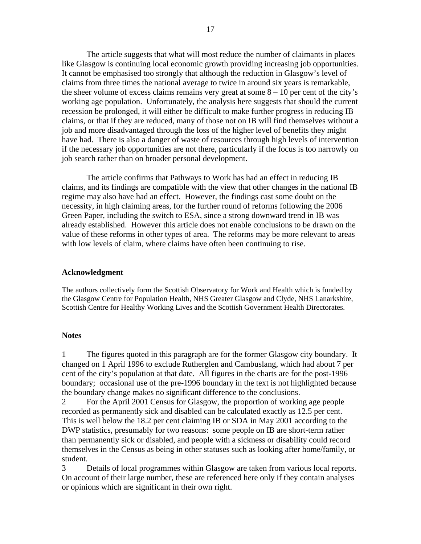The article suggests that what will most reduce the number of claimants in places like Glasgow is continuing local economic growth providing increasing job opportunities. It cannot be emphasised too strongly that although the reduction in Glasgow's level of claims from three times the national average to twice in around six years is remarkable, the sheer volume of excess claims remains very great at some  $8 - 10$  per cent of the city's working age population. Unfortunately, the analysis here suggests that should the current recession be prolonged, it will either be difficult to make further progress in reducing IB claims, or that if they are reduced, many of those not on IB will find themselves without a job and more disadvantaged through the loss of the higher level of benefits they might have had. There is also a danger of waste of resources through high levels of intervention if the necessary job opportunities are not there, particularly if the focus is too narrowly on job search rather than on broader personal development.

The article confirms that Pathways to Work has had an effect in reducing IB claims, and its findings are compatible with the view that other changes in the national IB regime may also have had an effect. However, the findings cast some doubt on the necessity, in high claiming areas, for the further round of reforms following the 2006 Green Paper, including the switch to ESA, since a strong downward trend in IB was already established. However this article does not enable conclusions to be drawn on the value of these reforms in other types of area. The reforms may be more relevant to areas with low levels of claim, where claims have often been continuing to rise.

## **Acknowledgment**

The authors collectively form the Scottish Observatory for Work and Health which is funded by the Glasgow Centre for Population Health, NHS Greater Glasgow and Clyde, NHS Lanarkshire, Scottish Centre for Healthy Working Lives and the Scottish Government Health Directorates.

## **Notes**

1 The figures quoted in this paragraph are for the former Glasgow city boundary. It changed on 1 April 1996 to exclude Rutherglen and Cambuslang, which had about 7 per cent of the city's population at that date. All figures in the charts are for the post-1996 boundary; occasional use of the pre-1996 boundary in the text is not highlighted because the boundary change makes no significant difference to the conclusions.

2 For the April 2001 Census for Glasgow, the proportion of working age people recorded as permanently sick and disabled can be calculated exactly as 12.5 per cent. This is well below the 18.2 per cent claiming IB or SDA in May 2001 according to the DWP statistics, presumably for two reasons: some people on IB are short-term rather than permanently sick or disabled, and people with a sickness or disability could record themselves in the Census as being in other statuses such as looking after home/family, or student.

3 Details of local programmes within Glasgow are taken from various local reports. On account of their large number, these are referenced here only if they contain analyses or opinions which are significant in their own right.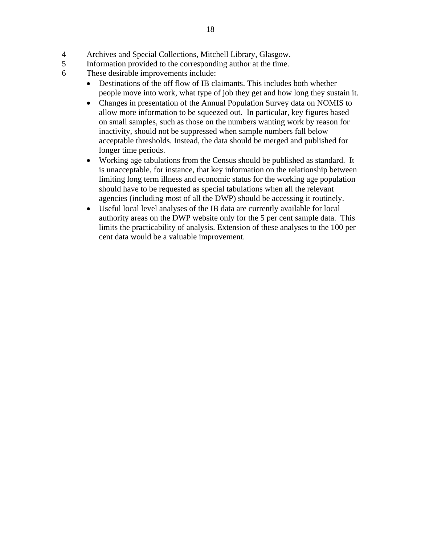- 4 Archives and Special Collections, Mitchell Library, Glasgow.
- 5 Information provided to the corresponding author at the time.
- 6 These desirable improvements include:
	- Destinations of the off flow of IB claimants. This includes both whether people move into work, what type of job they get and how long they sustain it.
	- Changes in presentation of the Annual Population Survey data on NOMIS to allow more information to be squeezed out. In particular, key figures based on small samples, such as those on the numbers wanting work by reason for inactivity, should not be suppressed when sample numbers fall below acceptable thresholds. Instead, the data should be merged and published for longer time periods.
	- Working age tabulations from the Census should be published as standard. It is unacceptable, for instance, that key information on the relationship between limiting long term illness and economic status for the working age population should have to be requested as special tabulations when all the relevant agencies (including most of all the DWP) should be accessing it routinely.
	- Useful local level analyses of the IB data are currently available for local authority areas on the DWP website only for the 5 per cent sample data. This limits the practicability of analysis. Extension of these analyses to the 100 per cent data would be a valuable improvement.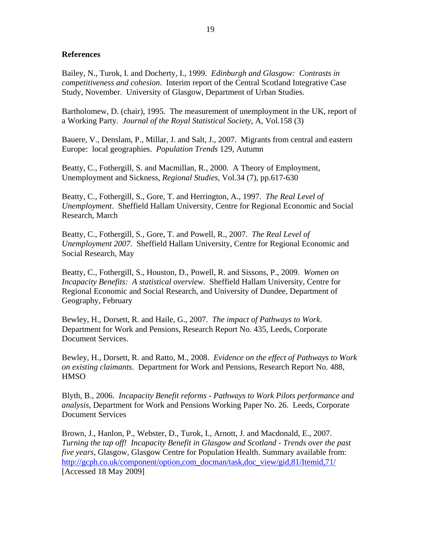## **References**

Bailey, N., Turok, I. and Docherty, I., 1999. *Edinburgh and Glasgow: Contrasts in competitiveness and cohesion*. Interim report of the Central Scotland Integrative Case Study, November. University of Glasgow, Department of Urban Studies.

Bartholomew, D. (chair), 1995. The measurement of unemployment in the UK, report of a Working Party. *Journal of the Royal Statistical Society*, A, Vol.158 (3)

Bauere, V., Denslam, P., Millar, J. and Salt, J., 2007. Migrants from central and eastern Europe: local geographies. *Population Trends* 129, Autumn

Beatty, C., Fothergill, S. and Macmillan, R., 2000. A Theory of Employment, Unemployment and Sickness, *Regional Studies*, Vol.34 (7), pp.617-630

Beatty, C., Fothergill, S., Gore, T. and Herrington, A., 1997. *The Real Level of Unemployment*. Sheffield Hallam University, Centre for Regional Economic and Social Research, March

Beatty, C., Fothergill, S., Gore, T. and Powell, R., 2007. *The Real Level of Unemployment 2007*. Sheffield Hallam University, Centre for Regional Economic and Social Research, May

Beatty, C., Fothergill, S., Houston, D., Powell, R. and Sissons, P., 2009. *Women on Incapacity Benefits: A statistical overview*. Sheffield Hallam University, Centre for Regional Economic and Social Research, and University of Dundee, Department of Geography, February

Bewley, H., Dorsett, R. and Haile, G., 2007. *The impact of Pathways to Work*. Department for Work and Pensions, Research Report No. 435, Leeds, Corporate Document Services.

Bewley, H., Dorsett, R. and Ratto, M., 2008. *Evidence on the effect of Pathways to Work on existing claimants*. Department for Work and Pensions, Research Report No. 488, **HMSO** 

Blyth, B., 2006. *Incapacity Benefit reforms - Pathways to Work Pilots performance and analysis*, Department for Work and Pensions Working Paper No. 26. Leeds, Corporate Document Services

Brown, J., Hanlon, P., Webster, D., Turok, I., Arnott, J. and Macdonald, E., 2007. *Turning the tap off! Incapacity Benefit in Glasgow and Scotland - Trends over the past five years*, Glasgow, Glasgow Centre for Population Health. Summary available from: http://gcph.co.uk/component/option.com\_docman/task,doc\_view/gid,81/Itemid,71/ [Accessed 18 May 2009]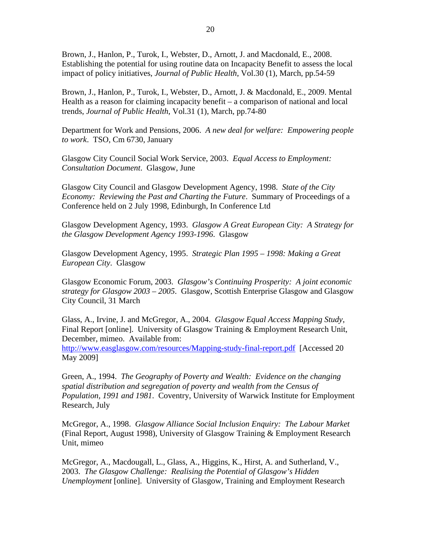Brown, J., Hanlon, P., Turok, I., Webster, D., Arnott, J. and Macdonald, E., 2008. Establishing the potential for using routine data on Incapacity Benefit to assess the local impact of policy initiatives, *Journal of Public Health*, Vol.30 (1), March, pp.54-59

Brown, J., Hanlon, P., Turok, I., Webster, D., Arnott, J. & Macdonald, E., 2009. Mental Health as a reason for claiming incapacity benefit – a comparison of national and local trends, *Journal of Public Health*, Vol.31 (1), March, pp.74-80

Department for Work and Pensions, 2006. *A new deal for welfare: Empowering people to work*. TSO, Cm 6730, January

Glasgow City Council Social Work Service, 2003. *Equal Access to Employment: Consultation Document*. Glasgow, June

Glasgow City Council and Glasgow Development Agency, 1998. *State of the City Economy: Reviewing the Past and Charting the Future*. Summary of Proceedings of a Conference held on 2 July 1998, Edinburgh, In Conference Ltd

Glasgow Development Agency, 1993. *Glasgow A Great European City: A Strategy for the Glasgow Development Agency 1993-1996*. Glasgow

Glasgow Development Agency, 1995. *Strategic Plan 1995 – 1998: Making a Great European City*. Glasgow

Glasgow Economic Forum, 2003. *Glasgow's Continuing Prosperity: A joint economic strategy for Glasgow 2003 – 2005*. Glasgow, Scottish Enterprise Glasgow and Glasgow City Council, 31 March

Glass, A., Irvine, J. and McGregor, A., 2004. *Glasgow Equal Access Mapping Study*, Final Report [online]. University of Glasgow Training & Employment Research Unit, December, mimeo. Available from:

http://www.easglasgow.com/resources/Mapping-study-final-report.pdf [Accessed 20 May 2009]

Green, A., 1994. *The Geography of Poverty and Wealth: Evidence on the changing spatial distribution and segregation of poverty and wealth from the Census of Population, 1991 and 1981*. Coventry, University of Warwick Institute for Employment Research, July

McGregor, A., 1998. *Glasgow Alliance Social Inclusion Enquiry: The Labour Market* (Final Report, August 1998), University of Glasgow Training & Employment Research Unit, mimeo

McGregor, A., Macdougall, L., Glass, A., Higgins, K., Hirst, A. and Sutherland, V., 2003. *The Glasgow Challenge: Realising the Potential of Glasgow's Hidden Unemployment* [online]. University of Glasgow, Training and Employment Research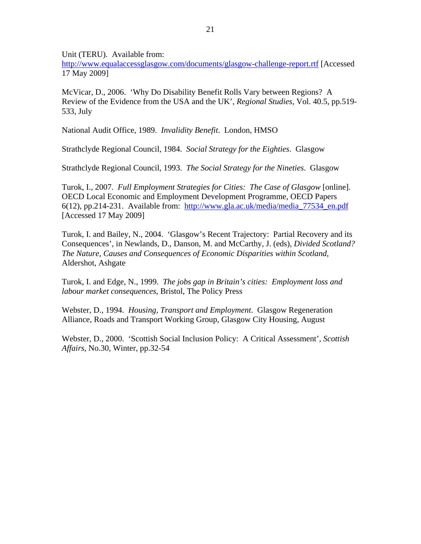Unit (TERU). Available from:

<http://www.equalaccessglasgow.com/documents/glasgow-challenge-report.rtf>[Accessed 17 May 2009]

McVicar, D., 2006. 'Why Do Disability Benefit Rolls Vary between Regions? A Review of the Evidence from the USA and the UK', *Regional Studies*, Vol. 40.5, pp.519- 533, July

National Audit Office, 1989. *Invalidity Benefit*. London, HMSO

Strathclyde Regional Council, 1984. *Social Strategy for the Eighties*. Glasgow

Strathclyde Regional Council, 1993. *The Social Strategy for the Nineties*. Glasgow

Turok, I., 2007. *Full Employment Strategies for Cities: The Case of Glasgow* [online]. OECD Local Economic and Employment Development Programme, OECD Papers 6(12), pp.214-231. Available from: [http://www.gla.ac.uk/media/media\\_77534\\_en.pdf](http://www.gla.ac.uk/media/media_77534_en.pdf) [Accessed 17 May 2009]

Turok, I. and Bailey, N., 2004. 'Glasgow's Recent Trajectory: Partial Recovery and its Consequences', in Newlands, D., Danson, M. and McCarthy, J. (eds), *Divided Scotland? The Nature, Causes and Consequences of Economic Disparities within Scotland*, Aldershot, Ashgate

Turok, I. and Edge, N., 1999. *The jobs gap in Britain's cities: Employment loss and labour market consequences*, Bristol, The Policy Press

Webster, D., 1994. *Housing, Transport and Employment*. Glasgow Regeneration Alliance, Roads and Transport Working Group, Glasgow City Housing, August

Webster, D., 2000. 'Scottish Social Inclusion Policy: A Critical Assessment', *Scottish Affairs*, No.30, Winter, pp.32-54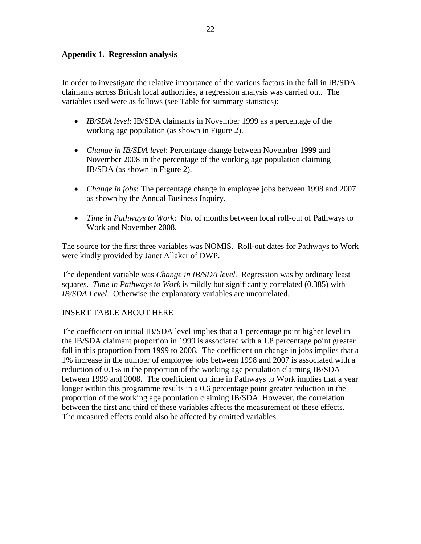## **Appendix 1. Regression analysis**

In order to investigate the relative importance of the various factors in the fall in IB/SDA claimants across British local authorities, a regression analysis was carried out. The variables used were as follows (see Table for summary statistics):

- *IB/SDA level*: IB/SDA claimants in November 1999 as a percentage of the working age population (as shown in Figure 2).
- *Change in IB/SDA level*: Percentage change between November 1999 and November 2008 in the percentage of the working age population claiming IB/SDA (as shown in Figure 2).
- *Change in jobs*: The percentage change in employee jobs between 1998 and 2007 as shown by the Annual Business Inquiry.
- *Time in Pathways to Work*: No. of months between local roll-out of Pathways to Work and November 2008.

The source for the first three variables was NOMIS. Roll-out dates for Pathways to Work were kindly provided by Janet Allaker of DWP.

The dependent variable was *Change in IB/SDA level.* Regression was by ordinary least squares. *Time in Pathways to Work* is mildly but significantly correlated (0.385) with *IB/SDA Level*. Otherwise the explanatory variables are uncorrelated.

## INSERT TABLE ABOUT HERE

The coefficient on initial IB/SDA level implies that a 1 percentage point higher level in the IB/SDA claimant proportion in 1999 is associated with a 1.8 percentage point greater fall in this proportion from 1999 to 2008. The coefficient on change in jobs implies that a 1% increase in the number of employee jobs between 1998 and 2007 is associated with a reduction of 0.1% in the proportion of the working age population claiming IB/SDA between 1999 and 2008. The coefficient on time in Pathways to Work implies that a year longer within this programme results in a 0.6 percentage point greater reduction in the proportion of the working age population claiming IB/SDA. However, the correlation between the first and third of these variables affects the measurement of these effects. The measured effects could also be affected by omitted variables.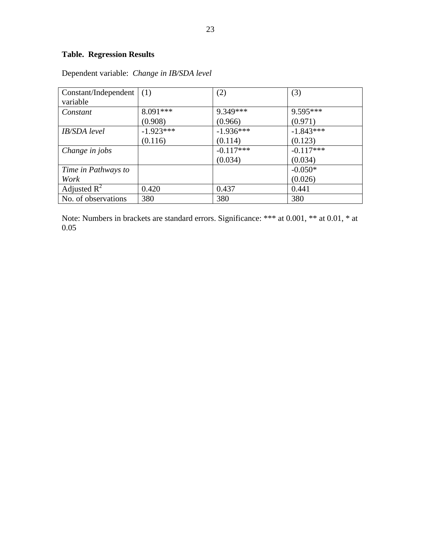## **Table. Regression Results**

| Constant/Independent | (1)         | (2)         | (3)         |
|----------------------|-------------|-------------|-------------|
| variable             |             |             |             |
| Constant             | 8.091***    | 9.349***    | 9.595***    |
|                      | (0.908)     | (0.966)     | (0.971)     |
| <b>IB/SDA</b> level  | $-1.923***$ | $-1.936***$ | $-1.843***$ |
|                      | (0.116)     | (0.114)     | (0.123)     |
| Change in jobs       |             | $-0.117***$ | $-0.117***$ |
|                      |             | (0.034)     | (0.034)     |
| Time in Pathways to  |             |             | $-0.050*$   |
| Work                 |             |             | (0.026)     |
| Adjusted $R^2$       | 0.420       | 0.437       | 0.441       |
| No. of observations  | 380         | 380         | 380         |

Dependent variable: *Change in IB/SDA level*

Note: Numbers in brackets are standard errors. Significance: \*\*\* at 0.001, \*\* at 0.01, \* at 0.05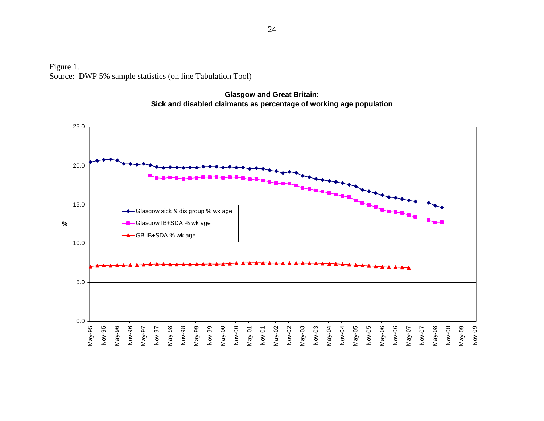



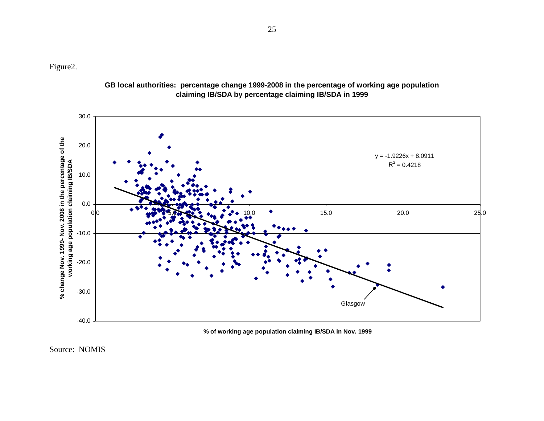Figure2.



## **GB local authorities: percentage change 1999-2008 in the percentage of working age population claiming IB/SDA by percentage claiming IB/SDA in 1999**

**% of working age population claiming IB/SDA in Nov. 1999**

Source: NOMIS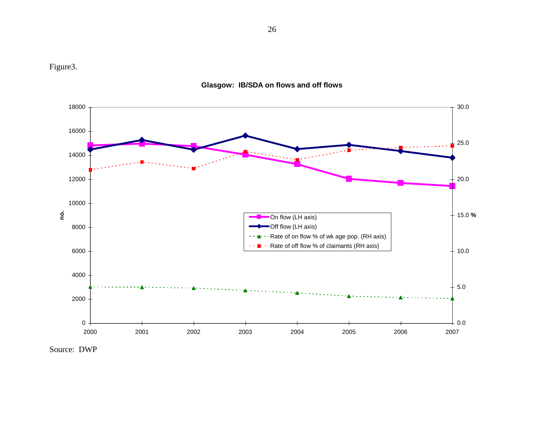Figure3.





Source: DWP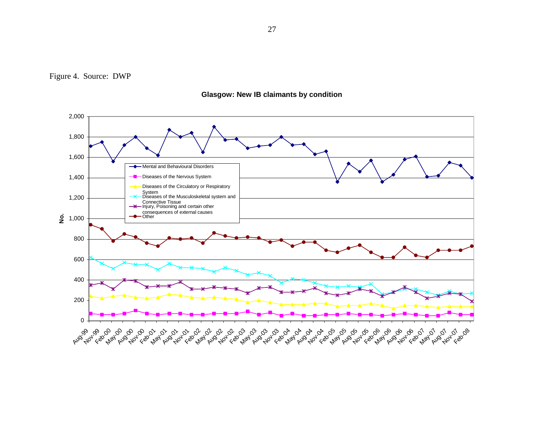

**Glasgow: New IB claimants by condition**

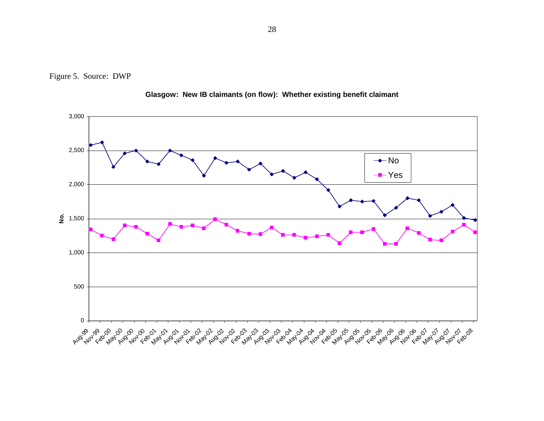



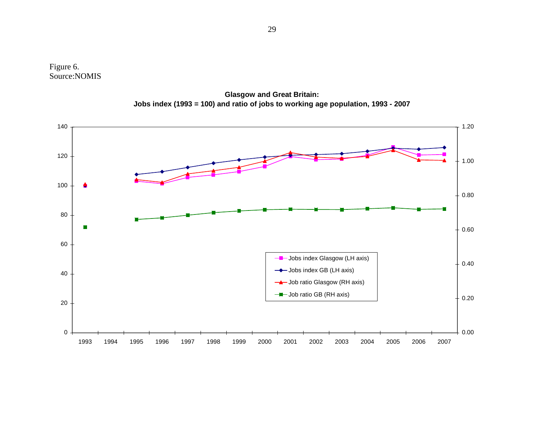



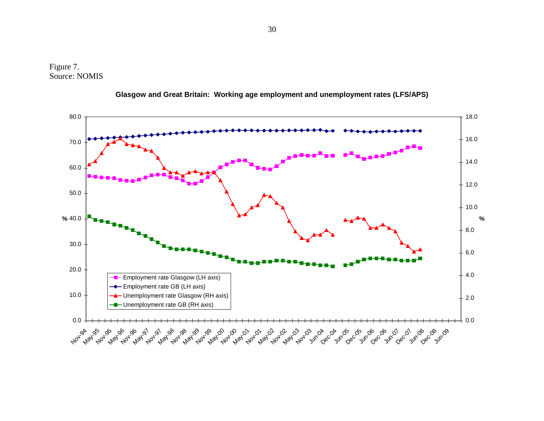





Source: NOMIS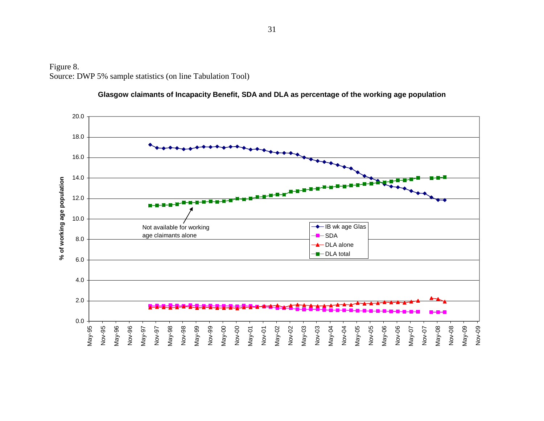



![](_page_31_Figure_2.jpeg)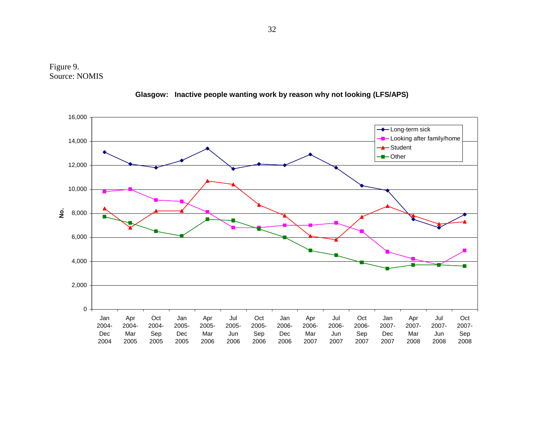![](_page_32_Figure_0.jpeg)

![](_page_32_Figure_1.jpeg)

#### **Glasgow: Inactive people wanting work by reason why not looking (LFS/APS)**